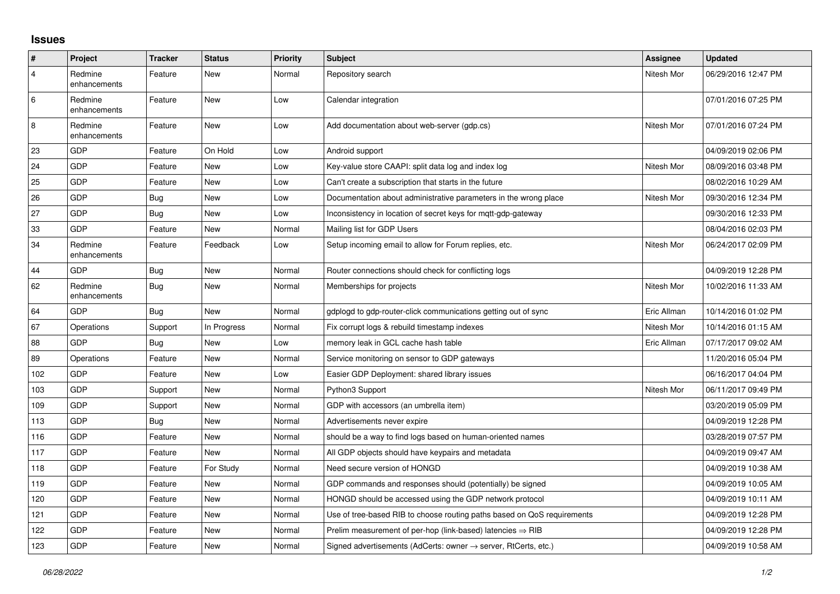## **Issues**

| $\sharp$       | Project                 | <b>Tracker</b> | <b>Status</b> | Priority | <b>Subject</b>                                                             | Assignee    | <b>Updated</b>      |
|----------------|-------------------------|----------------|---------------|----------|----------------------------------------------------------------------------|-------------|---------------------|
| $\overline{4}$ | Redmine<br>enhancements | Feature        | <b>New</b>    | Normal   | Repository search                                                          | Nitesh Mor  | 06/29/2016 12:47 PM |
| 6              | Redmine<br>enhancements | Feature        | <b>New</b>    | Low      | Calendar integration                                                       |             | 07/01/2016 07:25 PM |
| 8              | Redmine<br>enhancements | Feature        | <b>New</b>    | Low      | Add documentation about web-server (gdp.cs)                                | Nitesh Mor  | 07/01/2016 07:24 PM |
| 23             | <b>GDP</b>              | Feature        | On Hold       | Low      | Android support                                                            |             | 04/09/2019 02:06 PM |
| 24             | <b>GDP</b>              | Feature        | <b>New</b>    | Low      | Key-value store CAAPI: split data log and index log                        | Nitesh Mor  | 08/09/2016 03:48 PM |
| 25             | GDP                     | Feature        | <b>New</b>    | Low      | Can't create a subscription that starts in the future                      |             | 08/02/2016 10:29 AM |
| 26             | GDP                     | Bug            | New           | Low      | Documentation about administrative parameters in the wrong place           | Nitesh Mor  | 09/30/2016 12:34 PM |
| 27             | <b>GDP</b>              | Bug            | <b>New</b>    | Low      | Inconsistency in location of secret keys for mgtt-gdp-gateway              |             | 09/30/2016 12:33 PM |
| 33             | GDP                     | Feature        | <b>New</b>    | Normal   | Mailing list for GDP Users                                                 |             | 08/04/2016 02:03 PM |
| 34             | Redmine<br>enhancements | Feature        | Feedback      | Low      | Setup incoming email to allow for Forum replies, etc.                      | Nitesh Mor  | 06/24/2017 02:09 PM |
| 44             | <b>GDP</b>              | Bug            | <b>New</b>    | Normal   | Router connections should check for conflicting logs                       |             | 04/09/2019 12:28 PM |
| 62             | Redmine<br>enhancements | <b>Bug</b>     | <b>New</b>    | Normal   | Memberships for projects                                                   | Nitesh Mor  | 10/02/2016 11:33 AM |
| 64             | <b>GDP</b>              | Bug            | <b>New</b>    | Normal   | gdplogd to gdp-router-click communications getting out of sync             | Eric Allman | 10/14/2016 01:02 PM |
| 67             | Operations              | Support        | In Progress   | Normal   | Fix corrupt logs & rebuild timestamp indexes                               | Nitesh Mor  | 10/14/2016 01:15 AM |
| 88             | <b>GDP</b>              | Bug            | <b>New</b>    | Low      | memory leak in GCL cache hash table                                        | Eric Allman | 07/17/2017 09:02 AM |
| 89             | Operations              | Feature        | <b>New</b>    | Normal   | Service monitoring on sensor to GDP gateways                               |             | 11/20/2016 05:04 PM |
| 102            | GDP                     | Feature        | <b>New</b>    | Low      | Easier GDP Deployment: shared library issues                               |             | 06/16/2017 04:04 PM |
| 103            | GDP                     | Support        | <b>New</b>    | Normal   | Python3 Support                                                            | Nitesh Mor  | 06/11/2017 09:49 PM |
| 109            | <b>GDP</b>              | Support        | <b>New</b>    | Normal   | GDP with accessors (an umbrella item)                                      |             | 03/20/2019 05:09 PM |
| 113            | GDP                     | Bug            | <b>New</b>    | Normal   | Advertisements never expire                                                |             | 04/09/2019 12:28 PM |
| 116            | GDP                     | Feature        | <b>New</b>    | Normal   | should be a way to find logs based on human-oriented names                 |             | 03/28/2019 07:57 PM |
| 117            | <b>GDP</b>              | Feature        | <b>New</b>    | Normal   | All GDP objects should have keypairs and metadata                          |             | 04/09/2019 09:47 AM |
| 118            | GDP                     | Feature        | For Study     | Normal   | Need secure version of HONGD                                               |             | 04/09/2019 10:38 AM |
| 119            | GDP                     | Feature        | <b>New</b>    | Normal   | GDP commands and responses should (potentially) be signed                  |             | 04/09/2019 10:05 AM |
| 120            | <b>GDP</b>              | Feature        | <b>New</b>    | Normal   | HONGD should be accessed using the GDP network protocol                    |             | 04/09/2019 10:11 AM |
| 121            | GDP                     | Feature        | <b>New</b>    | Normal   | Use of tree-based RIB to choose routing paths based on QoS requirements    |             | 04/09/2019 12:28 PM |
| 122            | GDP                     | Feature        | <b>New</b>    | Normal   | Prelim measurement of per-hop (link-based) latencies $\Rightarrow$ RIB     |             | 04/09/2019 12:28 PM |
| 123            | GDP                     | Feature        | <b>New</b>    | Normal   | Signed advertisements (AdCerts: owner $\rightarrow$ server, RtCerts, etc.) |             | 04/09/2019 10:58 AM |